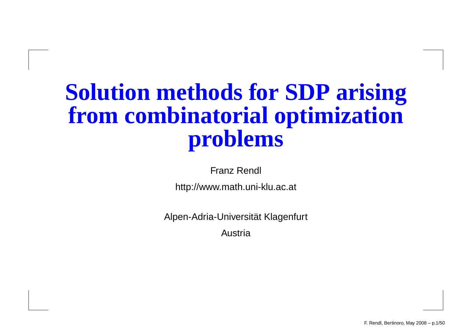#### **Solution methods for SDP arisingfrom combinatorial optimizationproblems**

Franz Rendl

http://www.math.uni-klu.ac.at

Alpen-Adria-Universität Klagenfurt

Austria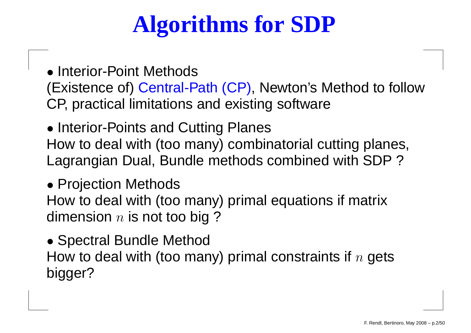# **Algorithms for SDP**

• Interior-Point Methods (Existence of) Central-Path (CP), Newton's Method to followCP, practical limitations and existing software

• Interior-Points and Cutting Planes How to deal with (too many) combinatorial cutting planes, Lagrangian Dual, Bundle methods combined with SDP ?

• Projection Methods How to deal with (too many) primal equations if matrixdimension  $n$  is not too big ?

• Spectral Bundle MethodHow to deal with (too many) primal constraints if  $n$  gets bigger?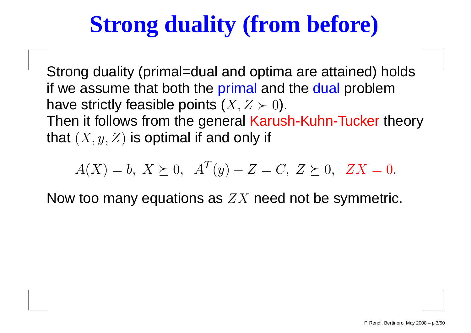# **Strong duality (from before)**

Strong duality (primal=dual and optima are attained) holdsif we assume that both the primal and the dual problem have strictly feasible points  $(X,Z\succ 0).$  $\blacksquare$ Then it follows from the general Karush-Kuhn-Tucker theory that  $(X, y, Z)$  is optimal if and only if

$$
A(X) = b, \ X \succeq 0, \ A^T(y) - Z = C, \ Z \succeq 0, \ ZX = 0.
$$

Now too many equations as  ${\it ZX}$  need not be symmetric.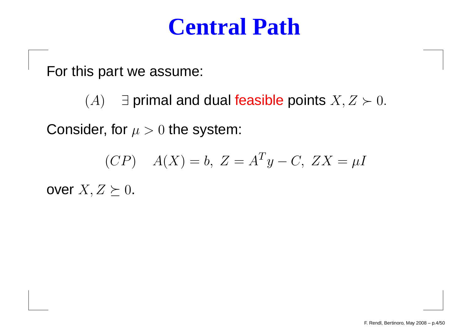#### **Central Path**

For this part we assume:

 $(A)$  ∃ primal and dual feasible points  $X, Z \succ 0$ . Consider, for  $\mu>0$  the system:

$$
(CP) \quad A(X) = b, \ Z = A^T y - C, \ ZX = \mu I
$$

over  $X, Z \succeq 0$ .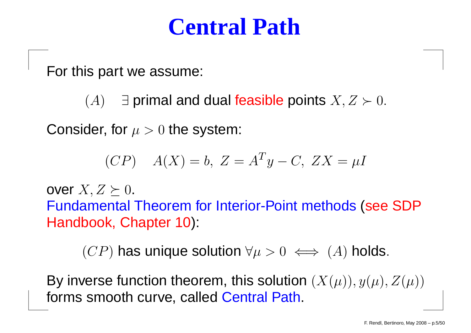#### **Central Path**

For this part we assume:

 $(A)$ ) ∃ primal and dual feasible points  $X, Z \succ 0$ . Consider, for  $\mu>0$  the system:

$$
(CP) \quad A(X) = b, \ Z = A^T y - C, \ ZX = \mu I
$$

Over  $X, Z \succeq 0$ .<br>Eundementel Fundamental Theorem for Interior-Point methods (see SDPHandbook, Chapter 10):

 $(CP)$  has unique solution  $\forall \mu > 0 \iff (A)$  holds.

By inverse function theorem, this solution  $(X(\mu)), y(\mu), Z(\mu))$ forms smooth curve, called Central Path.<br>.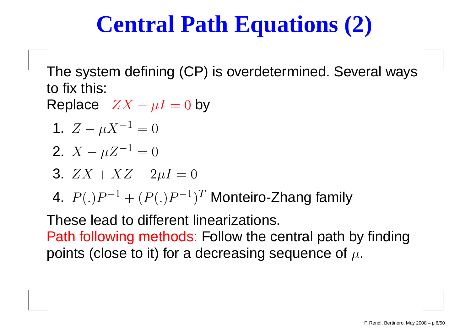### **Central Path Equations (2)**

The system defining (CP) is overdetermined. Several waysto fix this:

Replace  $\ ZX$  $-\mu I = 0$  by

- 1.  $Z \mu X^{-}$  $-\mu X^{-1} = 0$
- 2.  $X-\mu$  $-\mu Z^{-1} = 0$

$$
3. \, ZX + XZ - 2\mu I = 0
$$

4.  $P(.)P^{-1} + (P(.)P^{-1})$  $^{1})^{T}$  Monteiro-Zhang family

These lead to different linearizations. Path following methods: Follow the central path by findingpoints (close to it) for a decreasing sequence of  $\mu.$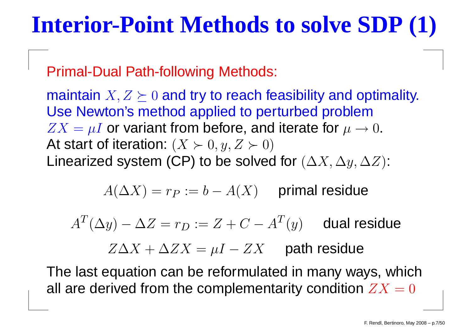#### **Interior-Point Methods to solve SDP (1)**

Primal-Dual Path-following Methods:

maintain  $X, Z\succeq0$  and try to reach feasibility and optimality.  $\blacksquare$ Use Newton's method applied to perturbed problem $ZX=\mu I$  or variant from before, and iterate for  $\mu$  –  $\mu = \mu I$  or variant from before, and iterate for  $\mu \to 0.5$ At start of iteration:  $(X \succ 0, y, Z \succ 0)$ Linearized system (CP) to be solved for  $(\Delta X, \Delta y, \Delta Z)$ :

$$
A(\Delta X) = r_P := b - A(X) \quad \text{ primal residue}
$$

 $A^T(\Delta y)$  $-\Delta Z = r_D := Z + C - A^T$  $T(y)$  dual residue

> $Z\Delta X + \Delta ZX$  $=\mu I$  $-ZX$  path residue

The last equation can be reformulated in many ways, whichall are derived from the complementarity condition  $ZX=0$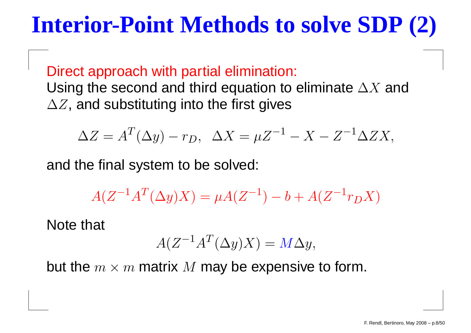# **Interior-Point Methods to solve SDP (2)**

Direct approach with partial elimination: Using the second and third equation to eliminate  $\Delta X$  and<br>∆  $Z$  and subetituting into the first gives  $\Delta Z$ , and substituting into the first gives

$$
\Delta Z = A^T(\Delta y) - r_D, \quad \Delta X = \mu Z^{-1} - X - Z^{-1} \Delta Z X,
$$

and the final system to be solved:

$$
A(Z^{-1}A^{T}(\Delta y)X) = \mu A(Z^{-1}) - b + A(Z^{-1}r_{D}X)
$$

Note that

$$
A(Z^{-1}A^T(\Delta y)X) = M\Delta y,
$$

but the  $m\times m$  matrix  $M$  may be expensive to form.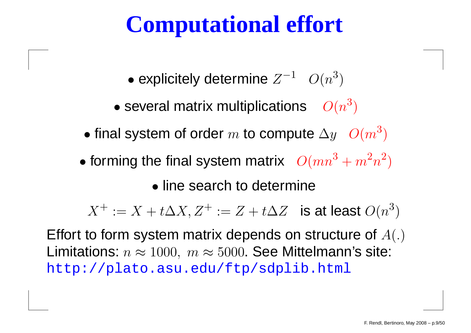### **Computational effort**

 $\bullet$  explicitely determine  $Z^{-1}$  $1$   $O(n)$ 3 $\binom{3}{ }$ 

- $\bullet$  several matrix multiplications  $O(n)$ 3 $\binom{3}{ }$
- $\bullet$  final system of order  $m$  to compute  $\Delta y$   $O(m$ 3 $\binom{3}{ }$
- $\bullet$  forming the final system matrix  $~O(mn^3)$  $\cdot$  +  $m$ 2-  $\,n$ 2 $\left( \frac{2}{2}\right)$

• line search to determine

 $X^+$  $t := X + t\Delta X, Z^{+}$  $t^+:=Z+t\Delta Z\;\;$  is at least  $O(n)$ 3 $\left( \begin{matrix} 3 \ 1 \end{matrix} \right)$ 

Effort to form system matrix depends on structure of  $A(.)$ Limitations:  $n\approx 1000,~m\approx 5000.$  See Mittelmann's site:  $2+2$   $221$ http://plato.asu.edu/ftp/sdplib.html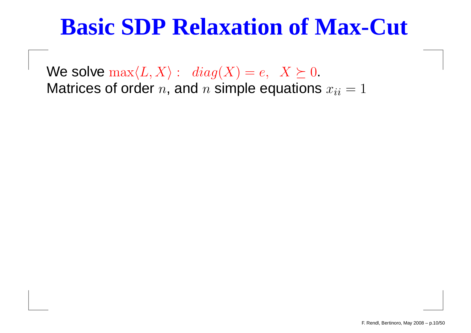#### **Basic SDP Relaxation of Max-Cut**

We solve  $\max\langle L, X \rangle: diag(X) = e, X \succeq 0.$ . . . . . Matrices of order  $n$ , and  $n$  simple equations  $x_{ii} = 1$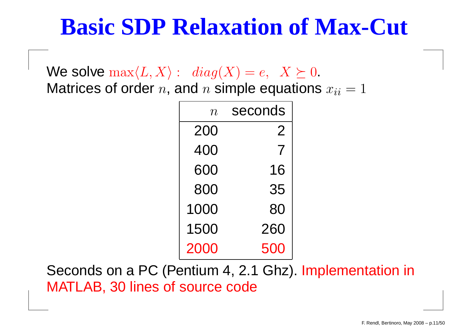#### **Basic SDP Relaxation of Max-Cut**

We solve  $\max\langle L, X \rangle: diag(X) = e, X \succeq 0.$ Matrices of order  $n$ , and  $n$  simple equations  $x_{ii} = 1$ 

| $\overline{n}$ | seconds        |
|----------------|----------------|
| 200            | $\overline{2}$ |
| 400            | 7              |
| 600            | 16             |
| 800            | 35             |
| 1000           | 80             |
| 1500           | 260            |
| 2000           | 500            |

Seconds on <sup>a</sup> PC (Pentium 4, 2.1 Ghz). Implementation inMATLAB, 30 lines of source code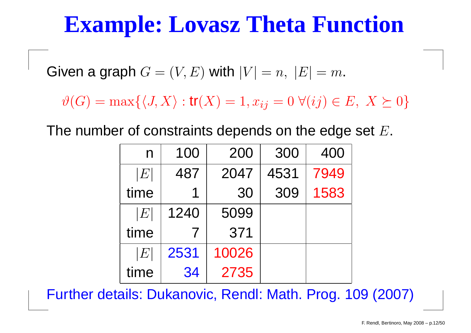#### **Example: Lovasz Theta Function**

Given a graph  $G = (V, E)$  with  $|V| = n, |E| = m$ .

 $\vartheta(G) = \max\{\langle J, X\rangle : \mathsf{tr}(X) = 1, x_{ij} = 0 \; \forall (ij) \in E, \; X \succeq 0\}$ 

The number of constraints depends on the edge set  $E.$ 

| n    | 100              | 200   | 300  | 400  |
|------|------------------|-------|------|------|
| E    | 487              | 2047  | 4531 | 7949 |
| time | 1                | 30    | 309  | 1583 |
| E    | 1240             | 5099  |      |      |
| time | $\boldsymbol{7}$ | 371   |      |      |
| E    | 2531             | 10026 |      |      |
| time | 34               | 2735  |      |      |

Further details: Dukanovic, Rendl: Math. Prog. 109 (2007)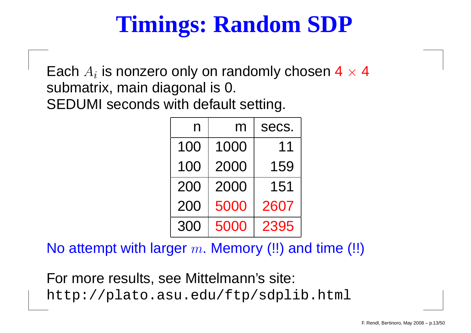# **Timings: Random SDP**

Each  $A_i$  is nonzero only on randomly chosen 4  $\times$  4 submatrix, main diagonal is 0. SEDUMI seconds with default setting.

| n   | m    | secs. |
|-----|------|-------|
| 100 | 1000 | 11    |
| 100 | 2000 | 159   |
| 200 | 2000 | 151   |
| 200 | 5000 | 2607  |
| 300 | 5000 | 2395  |

No attempt with larger  $m.$  Memory (!!) and time (!!)

For more results, see Mittelmann's site: http://plato.asu.edu/ftp/sdplib.html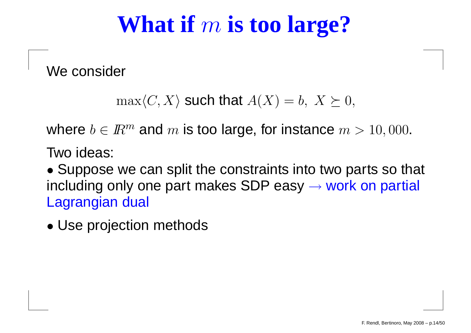#### **What if** <sup>m</sup>**is too large?**

We consider

```
\max\langle C, X \rangle such that A(X) = b, X \succeq 0,
```
where  $b \in I\!\!R^m$  and  $m$  is too large, for instance  $m > 10,000$ .

Two ideas:

• Suppose we can split the constraints into two parts so that including only one part makes SDP easy → work on partial<br>Lagrangian dual Lagrangian dual

• Use projection methods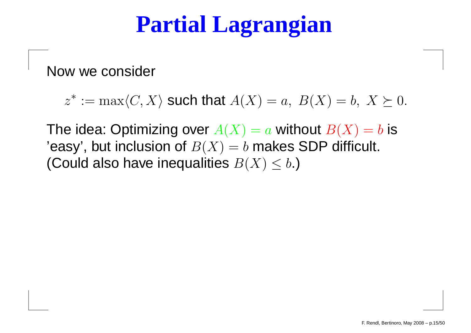### **Partial Lagrangian**

Now we consider

 $z^* := \max\langle C, X \rangle$  such that  $A(X) = a, B(X) = b, X \succeq 0.$ 

The idea: Optimizing over  $A(X)=a$  without  $B(X)=b$  is 'easy', but inclusion of  $B(X)=b$  makes SDP difficult. (Could also have inequalities  $B(X)\leq b$ .)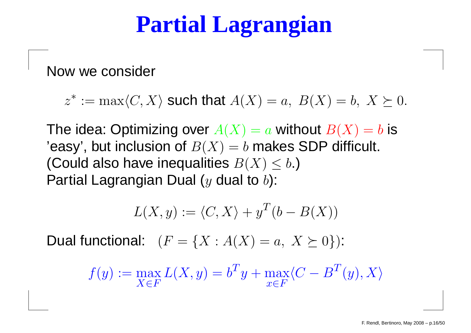### **Partial Lagrangian**

Now we consider

 $z^* := \max\langle C, X \rangle$  such that  $A(X) = a, B(X) = b, X \succeq 0.$ 

The idea: Optimizing over  $A(X)=a$  without  $B(X)=b$  is 'easy', but inclusion of  $B(X)=b$  makes SDP difficult. (Could also have inequalities  $B(X)\leq b$ .) la av Partial Lagrangian Dual ( $y$  dual to  $b$ ):

$$
L(X, y) := \langle C, X \rangle + y^T(b - B(X))
$$

Dual functional:  $\hskip.08cm$   $(F=$  $\{X : A(X) = a, X \succeq 0\}$ :

$$
f(y) := \max_{X \in F} L(X, y) = b^T y + \max_{x \in F} \langle C - B^T(y), X \rangle
$$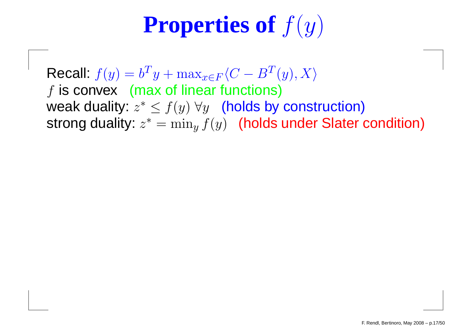# **Properties of**  $f(y)$

Recall:  $f(y) = b^T y + \max_{x \in F} \langle C - B^T(y), X \rangle$  $f$  is convex (max of linear functions) weak duality: <sup>z</sup><sup>∗</sup> ≤ <sup>f</sup>(y) <sup>∀</sup><sup>y</sup> (holds by construction) strong duality:  $z^* = \min_y f(y)$   $\;\;$  (holds under Slater condition)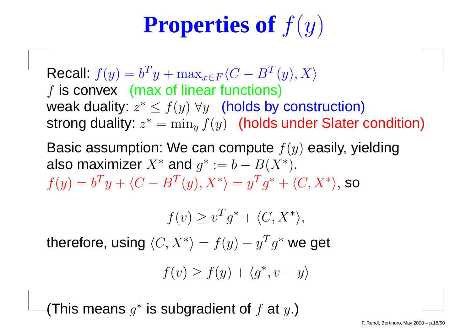# **Properties of**  $f(y)$

Recall:  $f(y) = b^T y + \max_{x \in F} \langle C - B^T(y), X \rangle$  $f$  is convex (max of linear functions) weak duality: <sup>z</sup><sup>∗</sup> ≤ <sup>f</sup>(y) <sup>∀</sup><sup>y</sup> (holds by construction) strong duality:  $z^* = \min_y f(y)$   $\;\;$  (holds under Slater condition)

Basic assumption: We can compute  $f(y)$  easily, yielding also maximizer  $X^*$  and  $g^* := b - B(X^*)$ .  $f(y) = b^T y + \langle C - B^T(y), X^* \rangle = y^T g^* + \langle C, X^* \rangle$ , so

$$
f(v) \ge v^T g^* + \langle C, X^* \rangle,
$$

therefore, using  $\langle C, X^*\rangle = f(y) - y^T g^*$  we get

$$
f(v) \ge f(y) + \langle g^*, v - y \rangle
$$

(This means  $g^*$  is subgradient of  $f$  at  $y$ .)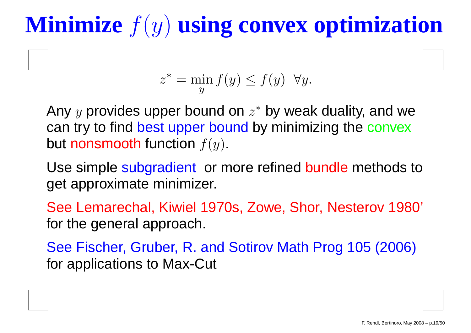# **Minimize** f(y) **using convex optimization**

$$
z^* = \min_{y} f(y) \le f(y) \ \forall y.
$$

Any  $y$  provides upper bound on  $z^\ast$  by weak duality, and we can try to find best upper bound by minimizing the convex but nonsmooth function  $f(y)$ .

Use simple subgradient or more refined bundle methods to get approximate minimizer.

See Lemarechal, Kiwiel 1970s, Zowe, Shor, Nesterov 1980' for the general approach.

See Fischer, Gruber, R. and Sotirov Math Prog 105 (2006)for applications to Max-Cut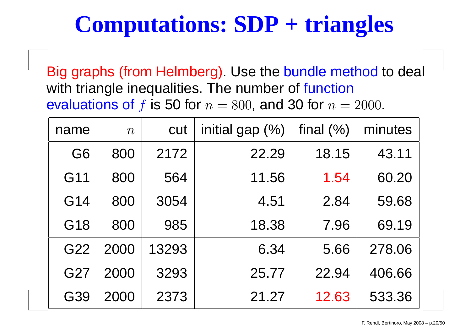# **Computations: SDP <sup>+</sup> triangles**

Big graphs (from Helmberg). Use the bundle method to deal with triangle inequalities. The number of function evaluations of  $f$  is 50 for  $n = 800$ , and 30 for  $n = 2000$ .

| name           | $\boldsymbol{n}$ | cut   | initial gap (%) | final $(\%)$ | minutes |
|----------------|------------------|-------|-----------------|--------------|---------|
| G <sub>6</sub> | 800              | 2172  | 22,29           | 18.15        | 43.11   |
| G11            | 800              | 564   | 11.56           | 1.54         | 60.20   |
| G14            | 800              | 3054  | 4.51            | 2.84         | 59.68   |
| G18            | 800              | 985   | 18.38           | 7.96         | 69.19   |
| G22            | 2000             | 13293 | 6.34            | 5.66         | 278.06  |
| G27            | 2000             | 3293  | 25,77           | 22.94        | 406.66  |
| G39            | 2000             | 2373  | 21.27           | 12.63        | 533.36  |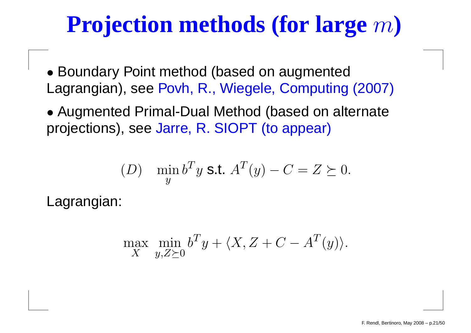#### **Projection methods (for large**m**)**

• Boundary Point method (based on augmentedLagrangian), see Povh, R., Wiegele, Computing (2007)

• Augmented Primal-Dual Method (based on alternateprojections), see Jarre, R. SIOPT (to appear)

$$
(D) \quad \min_{y} b^T y \text{ s.t. } A^T(y) - C = Z \succeq 0.
$$

Lagrangian:

$$
\max_{X} \min_{y,Z \succeq 0} b^T y + \langle X, Z + C - A^T(y) \rangle.
$$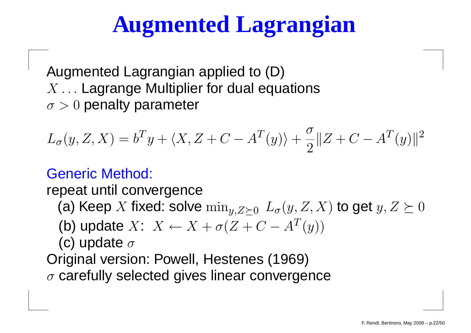### **Augmented Lagrangian**

Augmented Lagrangian applied to (D) $X\dots$  Lagrange Multiplier for dual equations  $\sigma>0$  penalty parameter

$$
L_{\sigma}(y, Z, X) = b^{T}y + \langle X, Z + C - A^{T}(y) \rangle + \frac{\sigma}{2} \| Z + C - A^{T}(y) \|^{2}
$$

#### Generic Method:

repeat until convergence

(a) Keep  $X$  fixed: solve  $\min_{y,Z}$  $\succeq_0 \, L_{\sigma}(y, Z, X)$  to get  $y, Z\succeq0$ 

(b) update 
$$
X: X \leftarrow X + \sigma(Z + C - A^T(y))
$$

(c) update  $\sigma$ 

Original version: Powell, Hestenes (1969)

 $\sigma$  carefully selected gives linear convergence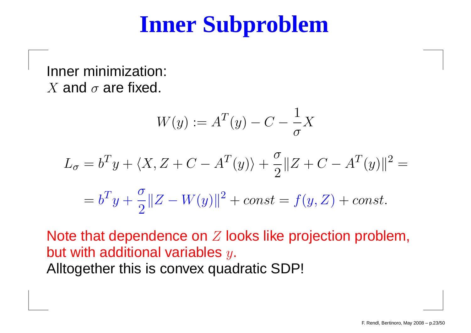#### **Inner Subproblem**

Inner minimization:  $X$  and  $\sigma$  are fixed.

$$
W(y) := A^T(y) - C - \frac{1}{\sigma}X
$$

$$
L_{\sigma} = b^{T} y + \langle X, Z + C - A^{T}(y) \rangle + \frac{\sigma}{2} ||Z + C - A^{T}(y)||^{2} =
$$

$$
= b^T y + \frac{\sigma}{2} \|Z - W(y)\|^2 + const = f(y, Z) + const.
$$

Note that dependence on  $Z$  looks like projection problem,<br>but with additional variables but with additional variables  $y.$ Alltogether this is convex quadratic SDP!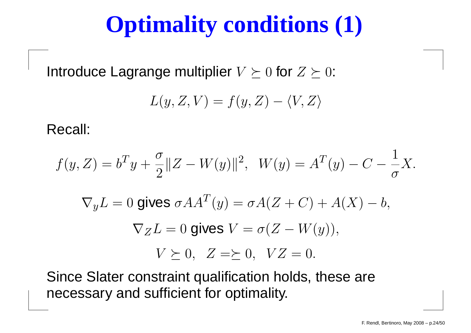### **Optimality conditions (1)**

Introduce Lagrange multiplier  $V\succeq0$  for  $Z\succeq0$ :

$$
L(y, Z, V) = f(y, Z) - \langle V, Z \rangle
$$

Recall:

$$
f(y, Z) = b^T y + \frac{\sigma}{2} \|Z - W(y)\|^2, \ \ W(y) = A^T(y) - C - \frac{1}{\sigma} X.
$$

$$
\nabla_y L = 0 \text{ gives } \sigma A A^T(y) = \sigma A (Z + C) + A(X) - b,
$$
  

$$
\nabla_Z L = 0 \text{ gives } V = \sigma (Z - W(y)),
$$
  

$$
V \succeq 0, \quad Z = \succeq 0, \quad VZ = 0.
$$

Since Slater constraint qualification holds, these arenecessary and sufficient for optimality.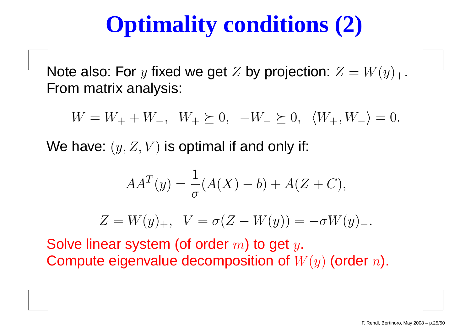# **Optimality conditions (2)**

Note also: For  $y$  fixed we get  $Z$  by projection:  $Z=W(y)_+.$ From matrix analysis:

 $W=W_{+}+W_{-}, W_{+}\succeq 0, -W_{-}\succeq 0, \langle W_{+}, W_{-}\rangle = 0.$ 

We have:  $(y, Z, V)$  is optimal if and only if:

$$
AA^{T}(y) = \frac{1}{\sigma}(A(X) - b) + A(Z + C),
$$

$$
Z = W(y)_{+}, \ \ V = \sigma(Z - W(y)) = -\sigma W(y)_{-}.
$$

Solve linear system (of order  $m$ ) to get  $y.$ Compute eigenvalue decomposition of  $W(y)$  (order  $n$ ).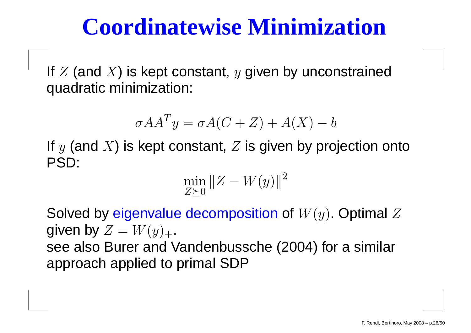#### **Coordinatewise Minimization**

If  $Z$  (and  $X$ ) is kept constant,  $y$  given by unconstrained<br>suceduations in instants as quadratic minimization:

$$
\sigma A A^T y = \sigma A (C + Z) + A(X) - b
$$

If  $y$  (and  $X$ ) is kept constant,  $Z$  is given by projection onto PSD:

$$
\min_{Z \succeq 0} \|Z - W(y)\|^2
$$

Solved by eigenvalue decomposition of  $W(y)$ . Optimal  $Z$ given by  $Z=W(y)_+.$ ∩ R⊔r⊆ see also Burer and Vandenbussche (2004) for <sup>a</sup> similarapproach applied to primal SDP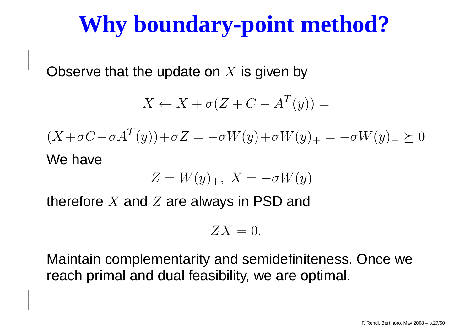# **Why boundary-point method?**

Observe that the update on  $X$  is given by

$$
X \leftarrow X + \sigma(Z + C - A^T(y)) =
$$

$$
(X + \sigma C - \sigma A^T(y)) + \sigma Z = -\sigma W(y) + \sigma W(y) + \sigma W(y) + \sigma W(y) - \succeq 0
$$

We have

$$
Z = W(y)_+, \ X = -\sigma W(y)_-
$$

therefore  $X$  and  $Z$  are always in PSD and

$$
ZX=0.
$$

Maintain complementarity and semidefiniteness. Once wereach primal and dual feasibility, we are optimal.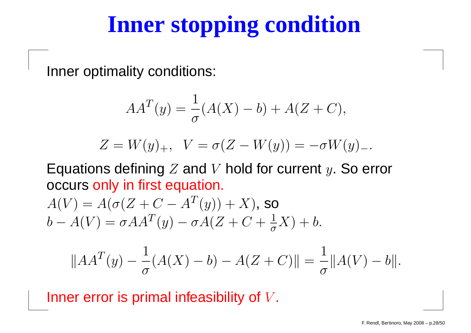# **Inner stopping condition**

Inner optimality conditions:

$$
AA^{T}(y) = \frac{1}{\sigma}(A(X) - b) + A(Z + C),
$$

$$
Z = W(y)_{+}, \ \ V = \sigma(Z - W(y)) = -\sigma W(y)_{-}.
$$

Equations defining  $Z$  and  $V$  hold for current  $y$ . So error occurs only in first equation.

$$
A(V) = A(\sigma(Z + C - A^T(y)) + X), \text{ so}
$$
  

$$
b - A(V) = \sigma AA^T(y) - \sigma A(Z + C + \frac{1}{\sigma}X) + b.
$$

$$
||AA^T(y) - \frac{1}{\sigma}(A(X) - b) - A(Z + C)|| = \frac{1}{\sigma}||A(V) - b||.
$$

Inner error is primal infeasibility of  $V$ .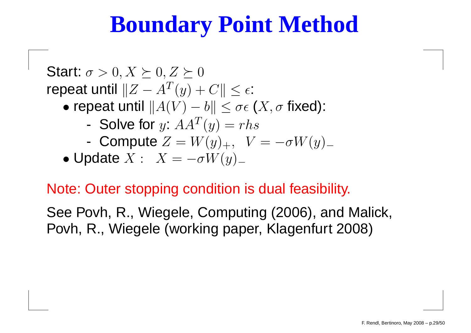#### **Boundary Point Method**

Start:  $\sigma>0, X\succeq0, Z\succeq0$  $\mathsf{repeat}\ \mathsf{until}\ \|Z-A^T(y)+C\|\leq \epsilon\ \mathsf{if}\ \mathsf{if}\ \mathsf{if}\ \mathsf{if}\ \mathsf{if}\ \mathsf{if}\ \mathsf{if}\ \mathsf{if}\ \mathsf{if}\ \mathsf{if}\ \mathsf{if}\ \mathsf{if}\ \mathsf{if}\ \mathsf{if}\ \mathsf{if}\ \mathsf{if}\ \mathsf{if}\ \mathsf{if}\ \mathsf{if}\ \mathsf{if}\ \mathsf{if}\ \mathsf{if}\ \mathsf{if}\ \mathsf{if}\ \mathsf{if}\ \mathsf{if}\ \mathsf{if}\ \mathsf{if}\ \mathsf{if}\ \mathsf{if}\ \mathsf{if}\ \mathsf{if}\ \$  $\overline{1}$  $\bullet$  repeat until  $\|A(V) -$ - Solve for  $v: 44$  $\|b\| \leq \sigma \epsilon\; (X, \sigma \; \mathsf{fixed})$ : Solve for y:  $AA^T(y) = rhs$ Compute  $Z=W(y)_{+}, V=-\sigma W(y)_{-}$  $Y - 1$ • Update  $X: X = -\sigma W(y)$ <sub>-</sub>

#### Note: Outer stopping condition is dual feasibility.

See Povh, R., Wiegele, Computing (2006), and Malick, Povh, R., Wiegele (working paper, Klagenfurt 2008)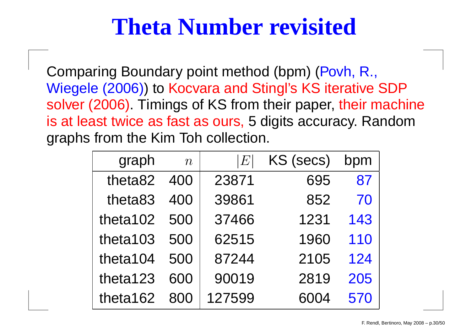#### **Theta Number revisited**

Comparing Boundary point method (bpm) (Povh, R., Wiegele (2006)) to Kocvara and Stingl's KS iterative SDP solver (2006). Timings of KS from their paper, their machineis at least twice as fast as ours, 5 digits accuracy. Randomgraphs from the Kim Toh collection.

| graph    | $\overline{n}$ | $\vert E \vert$ | KS (secs) | bpm |
|----------|----------------|-----------------|-----------|-----|
| theta82  | 400            | 23871           | 695       | 87  |
| theta83  | 400            | 39861           | 852       | 70  |
| theta102 | 500            | 37466           | 1231      | 143 |
| theta103 | 500            | 62515           | 1960      | 110 |
| theta104 | 500            | 87244           | 2105      | 124 |
| theta123 | 600            | 90019           | 2819      | 205 |
| theta162 | 800            | 127599          | 6004      | 570 |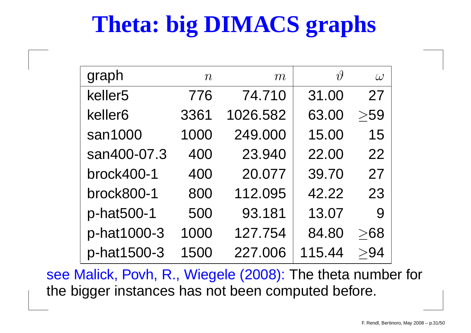# **Theta: big DIMACS graphs**

| graph               | $\boldsymbol{n}$ | m        | $\vartheta$ | $\omega$ |
|---------------------|------------------|----------|-------------|----------|
| keller <sub>5</sub> | 776              | 74.710   | 31.00       | 27       |
| keller <sub>6</sub> | 3361             | 1026.582 | 63.00       | >59      |
| san1000             | 1000             | 249.000  | 15.00       | 15       |
| san400-07.3         | 400              | 23.940   | 22.00       | 22       |
| brock400-1          | 400              | 20.077   | 39.70       | 27       |
| brock800-1          | 800              | 112.095  | 42.22       | 23       |
| p-hat500-1          | 500              | 93.181   | 13.07       | 9        |
| p-hat1000-3         | 1000             | 127.754  | 84.80       | > 68     |
| p-hat1500-3         | 1500             | 227.006  | 115.44      | >94      |

see Malick, Povh, R., Wiegele (2008): The theta number forthe bigger instances has not been computed before.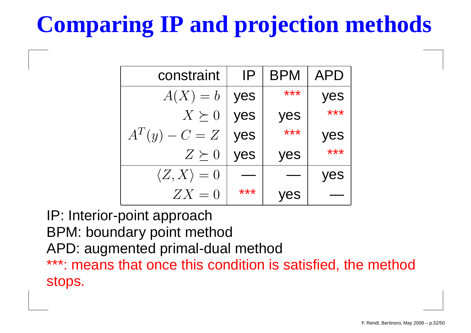# **Comparing IP and projection methods**

| constraint             | IP  | <b>BPM</b> | <b>APD</b> |
|------------------------|-----|------------|------------|
| $A(X) = b$             | yes | ***        | yes        |
| $X \succ 0$            | yes | yes        | ***        |
| $A^T(y) - C = Z$       | yes | ***        | yes        |
| $Z \succ 0$            | yes | yes        | ***        |
| $\langle Z,X\rangle=0$ |     |            | yes        |
| $ZX=0$                 | *** | yes        |            |

 IP: Interior-point approach BPM: boundary point method APD: augmented primal-dual method \*\*\*: means that once this condition is satisfied, the methodstops.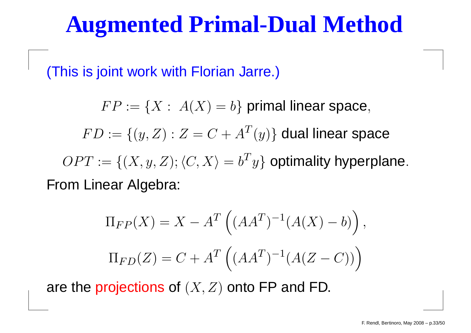#### **Augmented Primal-Dual Method**

(This is joint work with Florian Jarre.)

 $FP := \{X:~A(X) = b\}$  primal linear space,  $FD := \{(y, Z) : Z = C + A^T\}$  $\{T(y)\}$  dual linear space  $OPT := \{(X, y, Z); \langle C, X \rangle\}$  $= b^T$  $\{^Ty\}$  optimality hyperplane. From Linear Algebra:

$$
\Pi_{FP}(X) = X - A^T \left( (AA^T)^{-1} (A(X) - b) \right),
$$
  

$$
\Pi_{FD}(Z) = C + A^T \left( (AA^T)^{-1} (A(Z - C)) \right)
$$

are the projections of  $(X,Z)$  onto FP and FD.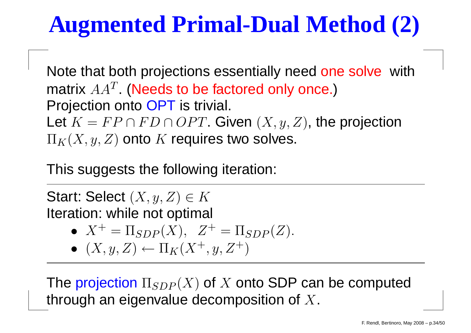# **Augmented Primal-Dual Method (2)**

Note that both projections essentially need one solve with  $\mathbb Z$ matrix  $AA^T$  (Needs to be factored only once.) Projection onto OPT is trivial.<br>Latin EPSORP 2PT Oi Let  $K = FP \cap FD \cap OPT$ . Given  $(X, y, Z)$ , the projection  $\Pi_K(X, y, Z)$  onto  $K$  requires two solves.

This suggests the following iteration:

Start: Select  $(X,y,Z)\in K$  $\sim$ ntim Iteration: while not optimal

- $\bullet\;\;X^+=\Pi_{SDP}(X),\;\;Z^+=\Pi_{SDP}(Z).$
- $(X, T)$  $\bullet\,\,\left(X,y,Z\right)\leftarrow\Pi_{K}(X^{+},y,Z^{+})$

The projection  $\Pi_{SDP}(X)$  of  $X$  onto SDP can be computed<br>through an eigenvalue decomposition of  $X$  $\blacksquare$ through an eigenvalue decomposition of  $X.$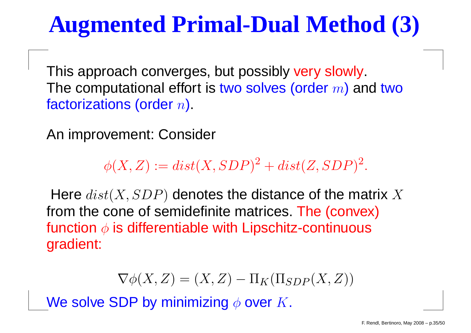# **Augmented Primal-Dual Method (3)**

This approach converges, but possibly very slowly.<br>— The computational effort is two solves (order  $m$ ) and two  $\epsilon$ factorizations (order  $n$ ).

An improvement: Consider

 $\phi(X,Z):=dist(X,SDP)^2$  $^{2}+dist(Z,SDP)^{2}$ .

Here  $dist(X, SDP)$  denotes the distance of the matrix  $X$  from the cone of semidefinite matrices. The (convex)function  $\phi$  is differentiable with Lipschitz-continuous gradient:

$$
\nabla \phi(X, Z) = (X, Z) - \Pi_K(\Pi_{SDP}(X, Z))
$$

We solve SDP by minimizing  $\phi$  over  $K.$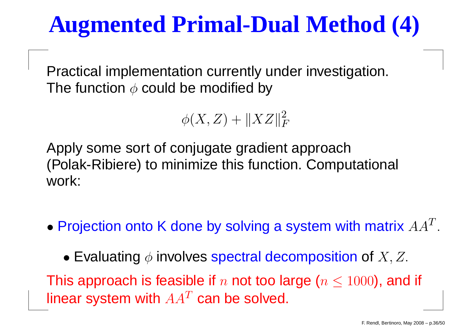# **Augmented Primal-Dual Method (4)**

Practical implementation currently under investigation. The function  $\phi$  could be modified by

> $\phi(X,Z) + \|XZ\|_P^2$  $\,F$

Apply some sort of conjugate gradient approach (Polak-Ribiere) to minimize this function. Computational work:

 $\bullet$  Projection onto K done by solving a system with matrix  $AA^T$ .

 $\bullet$  Evaluating  $\phi$  involves spectral decomposition of  $X, Z.$ 

This approach is feasible if  $n$  not too large ( $n\leq1000$ ), and if linear system with  $A A^T$  can be solved.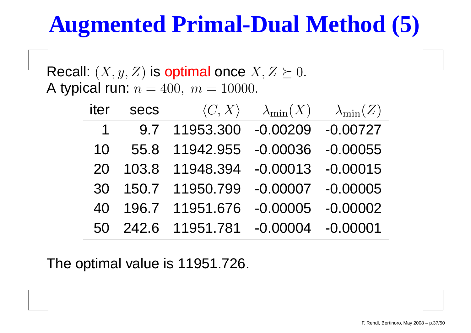### **Augmented Primal-Dual Method (5)**

Recall:  $(X, y, Z)$  is optimal once  $X, Z\succeq0.$ A typical run:  $n=400,\,\,m=10000.$ iter secs  $\langle C,X\rangle$ 

| iter | <b>Secs</b> | $\langle C, X \rangle$ | $\lambda_{\min}(X)$ | $\lambda_{\min}(Z)$ |
|------|-------------|------------------------|---------------------|---------------------|
| 1    | 9.7         | 11953.300              | $-0.00209$          | $-0.00727$          |
| 10   | 55.8        | 11942.955              | $-0.00036$          | $-0.00055$          |
| 20   | 103.8       | 11948.394              | $-0.00013$          | $-0.00015$          |
| 30   | 150.7       | 11950.799              | $-0.00007$          | $-0.00005$          |
| 40   | 196.7       | 11951.676              | $-0.00005$          | $-0.00002$          |
| 50   | 242.6       | 11951.781              | $-0.00004$          | $-0.00001$          |

The optimal value is 11951.726.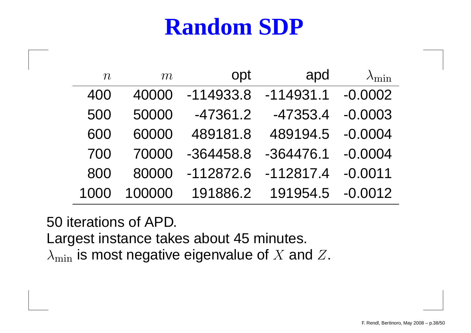#### **Random SDP**

| $\boldsymbol{n}$ | m      | opt         | apd         | $\lambda_{\min}$ |
|------------------|--------|-------------|-------------|------------------|
| 400              | 40000  | $-114933.8$ | $-114931.1$ | $-0.0002$        |
| 500              | 50000  | $-47361.2$  | $-47353.4$  | $-0.0003$        |
| 600              | 60000  | 489181.8    | 489194.5    | $-0.0004$        |
| 700              | 70000  | $-364458.8$ | $-364476.1$ | $-0.0004$        |
| 800              | 80000  | $-112872.6$ | $-112817.4$ | $-0.0011$        |
| 1000             | 100000 | 191886.2    | 191954.5    | $-0.0012$        |

50 iterations of APD. Largest instance takes about 45 minutes.  $\lambda_{\text{min}}$  is most negative eigenvalue of  $X$  and  $Z$ .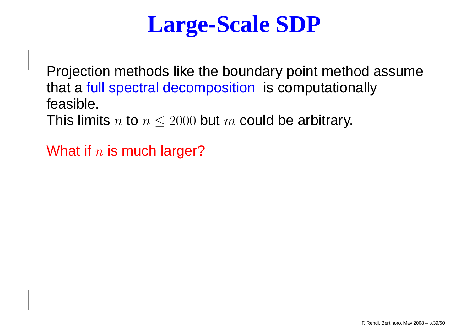### **Large-Scale SDP**

Projection methods like the boundary point method assumethat a full spectral decomposition is computationally<br>´ feasible.This limits  $n$  to  $n\leq 2000$  but  $m$  could be arbitrary.

What if  $n$  is much larger?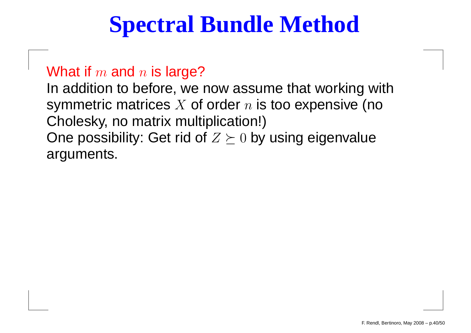### **Spectral Bundle Method**

#### What if  $m$  and  $n$  is large?<br>In addition to before, we i

In addition to before, we now assume that working withsymmetric matrices  $X$  of order  $n$  is too expensive (no<br>Chalesky no matrix multiplication!) Cholesky, no matrix multiplication!)One possibility: Get rid of  $Z\succeq0$  by using eigenvalue arguments.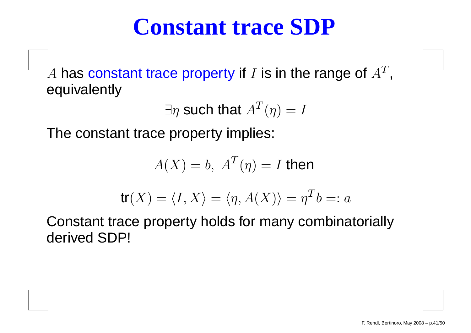#### **Constant trace SDP**

A has constant trace property if  $I$  is in the range of  $A^T$  ,equivalently

> $\exists \eta$  such that  $A^T$  $I\left( \eta\right) =I$

The constant trace property implies:

$$
A(X) = b, \ A^T(\eta) = I \text{ then}
$$

$$
\mathsf{tr}(X) = \langle I, X \rangle = \langle \eta, A(X) \rangle = \eta^T b =: a
$$

Constant trace property holds for many combinatoriallyderived SDP!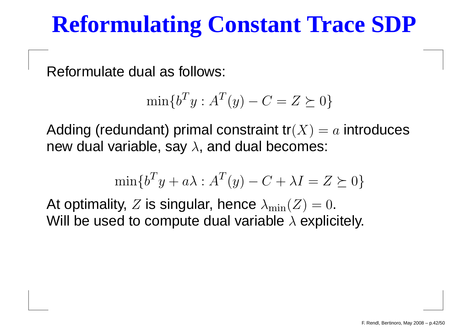### **Reformulating Constant Trace SDP**

Reformulate dual as follows:

$$
\min\{b^T y : A^T(y) - C = Z \succeq 0\}
$$

Adding (redundant) primal constraint tr $(X)=a$  introduces new dual variable, say  $\lambda$ , and dual becomes:

$$
\min\{b^T y + a\lambda : A^T(y) - C + \lambda I = Z \succeq 0\}
$$

At optimality,  $Z$  is singular, hence  $\lambda_{\min}(Z)=0$ . Will be used to compute dual variable  $\lambda$  explicitely.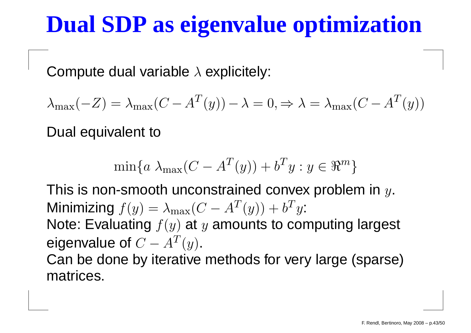### **Dual SDP as eigenvalue optimization**

Compute dual variable  $\lambda$  explicitely:

$$
\lambda_{\max}(-Z) = \lambda_{\max}(C - A^T(y)) - \lambda = 0, \Rightarrow \lambda = \lambda_{\max}(C - A^T(y))
$$

Dual equivalent to

$$
\min\{a \lambda_{\max}(C - A^T(y)) + b^T y : y \in \Re^m\}
$$

This is non-smooth unconstrained convex problem in  $y.$ Minimizing  $f(y) = \lambda_{\text{max}}(C-A^T)$ **Contract Contract Contract**  $f(x)$  of  $\alpha$  or  $T(y))+b^T$ Note: Evaluating  $f(y)$  at  $y$  amounts to computing largest  $'y$ : eigenvalue of  $C-A^T$ A1 IF*F*  $^{T}\!\left( y\right)$  . Can be done by iterative methods for very large (sparse)matrices.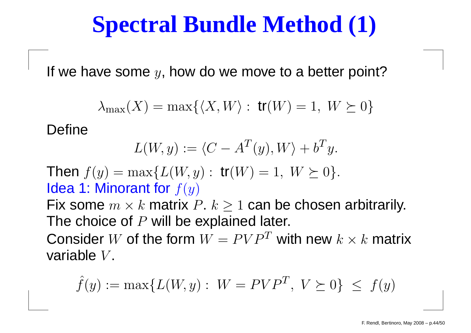## **Spectral Bundle Method (1)**

If we have some  $y,$  how do we move to a better point?

$$
\lambda_{\max}(X) = \max\{\langle X, W \rangle : \text{ tr}(W) = 1, W \succeq 0\}
$$

Define

$$
L(W, y) := \langle C - A^T(y), W \rangle + b^T y.
$$

Then  $f(y) = \max\{L(W, y) : \text{ tr}(W) = 1, \; W\succeq 0\}.$ Idea 1: Minorant for  $f(y)$ 

Fix some  $m\times k$  matrix  $P$ .  $k\geq 1$  can be chosen arbitrarily.  $\alpha$  of  $D$  will be evolgen The choice of  $P$  will be explained later.

Consider  $W$  of the form  $W=PVP^T$  with new  $k\times k$  matrix<br>variable  $V$ variable  $V$  $\cdot$  .

$$
\hat{f}(y) := \max\{L(W, y) : W = PVP^T, V \succeq 0\} \le f(y)
$$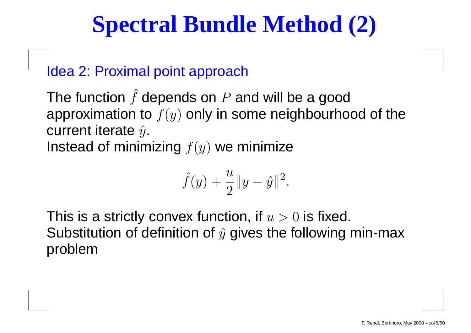# **Spectral Bundle Method (2)**

#### Idea 2: Proximal point approach

The function  $\hat{f}$  depends on  $P$  and will be a good approximation to  $f(y)$  only in some neighbourhood of the current iterate  $\hat{y}$ .

Instead of minimizing  $f(y)$  we minimize

$$
\hat{f}(y) + \frac{u}{2} \|y - \hat{y}\|^2.
$$

This is a strictly convex function, if  $u>0$  is fixed. Substitution of definition of  $\hat{y}$  gives the following min-max problem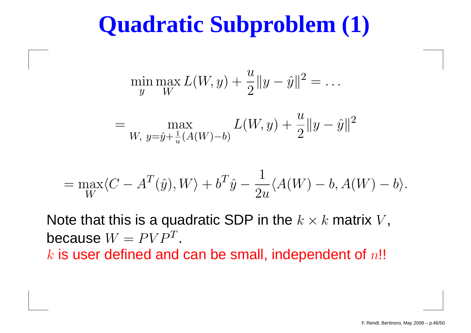### **Quadratic Subproblem (1)**

$$
\min_{y} \max_{W} L(W, y) + \frac{u}{2} ||y - \hat{y}||^2 = \dots
$$

$$
= \max_{W, y = \hat{y} + \frac{1}{u}(A(W) - b)} L(W, y) + \frac{u}{2} ||y - \hat{y}||^2
$$

$$
= \max_W \langle C - A^T(\hat{y}), W \rangle + b^T \hat{y} - \frac{1}{2u} \langle A(W) - b, A(W) - b \rangle.
$$

Note that this is a quadratic SDP in the  $k\times k$  matrix  $V$  $\cdot$ , because  $W = P V P^T$  $k$  is user defined and can be small, independent of  $n!!$ .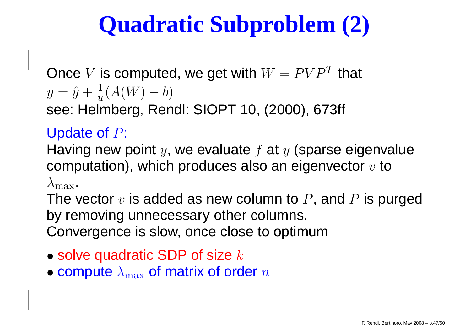# **Quadratic Subproblem (2)**

Once  $V$  is computed, we get with  $W = P V P^T$  that  $y = \hat{y} + \frac{1}{u}$ -IAIMHAMA I  $\frac{1}{u}(A(W)$  $-\ b)$ see: Helmberg, Rendl: SIOPT 10, (2000), 673ff

Update of  $P\mathrm{:}$ 

Having new point  $y$ , we evaluate  $f$  at  $y$  (sparse eigenvalue computation), which produces also an eigenvector  $v$  to  $\lambda_{\text{max}}$ .

The vector  $v$  is added as new column to  $P$ , and  $P$  is purged by removing unnecessary other columns. Convergence is slow, once close to optimum

- $\bullet$  solve quadratic SDP of size  $k$
- $\bullet$  compute  $\lambda_{\text{max}}$  of matrix of order  $n$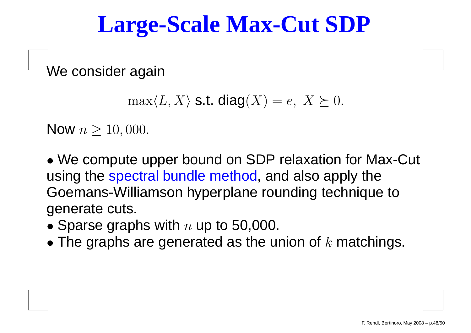#### **Large-Scale Max-Cut SDP**

We consider again

```
\max\langle L, X \rangle s.t. diag(X) = e, X \succeq 0.
```
Now  $n\geq 10,000$ .

• We compute upper bound on SDP relaxation for Max-Cut using the spectral bundle method, and also apply the Goemans-Williamson hyperplane rounding technique togenerate cuts.

- Sparse graphs with  $n$  up to 50,000.
- $\bullet$  The graphs are generated as the union of  $k$  matchings.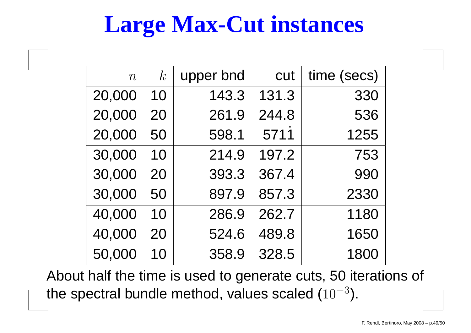### **Large Max-Cut instances**

| $\overline{n}$ | $k_{\cdot}$ | upper bnd | cut   | time (secs) |
|----------------|-------------|-----------|-------|-------------|
| 20,000         | 10          | 143.3     | 131.3 | 330         |
| 20,000         | 20          | 261.9     | 244.8 | 536         |
| 20,000         | 50          | 598.1     | 5711  | 1255        |
| 30,000         | 10          | 214.9     | 197.2 | 753         |
| 30,000         | 20          | 393.3     | 367.4 | 990         |
| 30,000         | 50          | 897.9     | 857.3 | 2330        |
| 40,000         | 10          | 286.9     | 262.7 | 1180        |
| 40,000         | 20          | 524.6     | 489.8 | 1650        |
| 50,000         | 10          | 358.9     | 328.5 | 1800        |

About half the time is used to generate cuts, 50 iterations of the spectral bundle method, values scaled ( $10^{\rm -3}$ ).